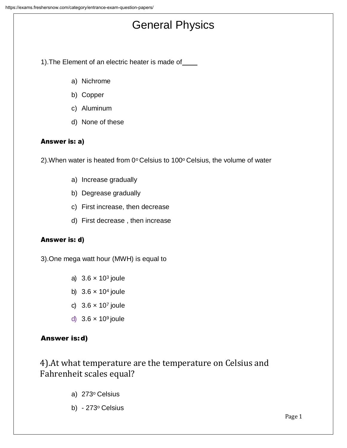# General Physics

1).The Element of an electric heater is made of

- a) Nichrome
- b) Copper
- c) Aluminum
- d) None of these

## Answer is: a)

2). When water is heated from  $0^{\circ}$  Celsius to 100 $^{\circ}$  Celsius, the volume of water

- a) Increase gradually
- b) Degrease gradually
- c) First increase, then decrease
- d) First decrease , then increase

#### Answer is: d)

3).One mega watt hour (MWH) is equal to

- a)  $3.6 \times 10^3$  joule
- b)  $3.6 \times 10^4$  joule
- c)  $3.6 \times 10^7$  joule
- d)  $3.6 \times 10^9$  joule

## Answer is:d)

4).At what temperature are the temperature on Celsius and Fahrenheit scales equal?

- a) 273<sup>o</sup> Celsius
- b) 273º Celsius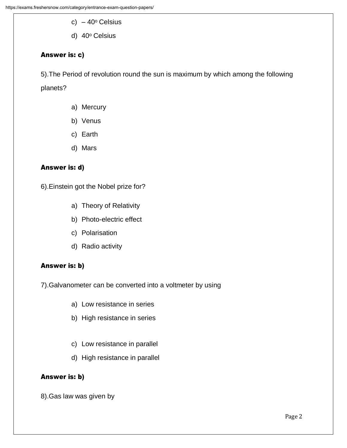- c)  $-40^\circ$  Celsius
- d) 40<sup>o</sup> Celsius

#### Answer is: c)

5).The Period of revolution round the sun is maximum by which among the following

planets?

- a) Mercury
- b) Venus
- c) Earth
- d) Mars

## Answer is: d)

6).Einstein got the Nobel prize for?

- a) Theory of Relativity
- b) Photo-electric effect
- c) Polarisation
- d) Radio activity

#### Answer is: b)

7).Galvanometer can be converted into a voltmeter by using

- a) Low resistance in series
- b) High resistance in series
- c) Low resistance in parallel
- d) High resistance in parallel

#### Answer is: b)

8).Gas law was given by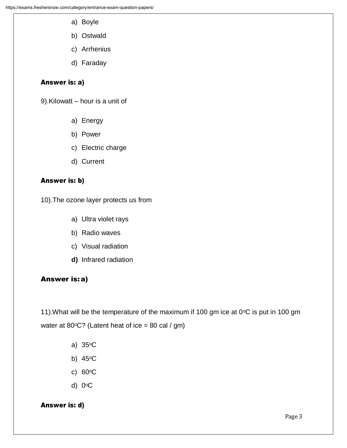- a) Boyle
- b) Ostwald
- c) Arrhenius
- d) Faraday

#### Answer is: a)

9).Kilowatt – hour is a unit of

- a) Energy
- b) Power
- c) Electric charge
- d) Current

#### Answer is: b)

10).The ozone layer protects us from

- a) Ultra violet rays
- b) Radio waves
- c) Visual radiation
- **d)** Infrared radiation

#### Answer is:a)

11). What will be the temperature of the maximum if 100 gm ice at  $0^{\circ}$ C is put in 100 gm water at 80 $\degree$ C? (Latent heat of ice = 80 cal / gm)

- a) 35oC
- b) 45oC
- c) 60oC
- d) 0oC

#### Answer is: d)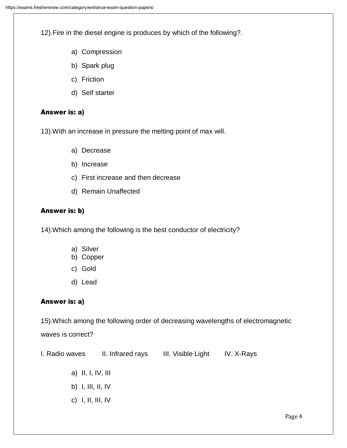12).Fire in the diesel engine is produces by which of the following?.

- a) Compression
- b) Spark plug
- c) Friction
- d) Self starter

#### Answer is: a)

13).With an increase in pressure the melting point of max will.

- a) Decrease
- b) Increase
- c) First increase and then decrease
- d) Remain Unaffected

#### Answer is: b)

14).Which among the following is the best conductor of electricity?

- a) Silver
- b) Copper
- c) Gold
- d) Lead

#### Answer is: a)

15).Which among the following order of decreasing wavelengths of electromagnetic waves is correct?

| I. Radio waves      | II. Infrared rays | III. Visible Light | IV. X-Rays |  |
|---------------------|-------------------|--------------------|------------|--|
| a) II, I, IV, III   |                   |                    |            |  |
| b) I, III, II, IV   |                   |                    |            |  |
| c) $I, II, III, IV$ |                   |                    |            |  |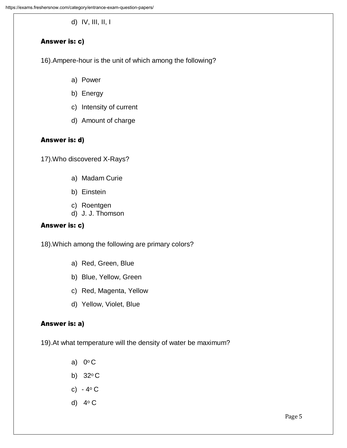d) IV, III, II, I

## Answer is: c)

16).Ampere-hour is the unit of which among the following?

- a) Power
- b) Energy
- c) Intensity of current
- d) Amount of charge

## Answer is: d)

17).Who discovered X-Rays?

- a) Madam Curie
- b) Einstein
- c) Roentgen
- d) J. J. Thomson

#### Answer is: c)

18).Which among the following are primary colors?

- a) Red, Green, Blue
- b) Blue, Yellow, Green
- c) Red, Magenta, Yellow
- d) Yellow, Violet, Blue

#### Answer is: a)

19).At what temperature will the density of water be maximum?

- a)  $0^{\circ}$  C
- b)  $32^{\circ}$  C
- c)  $4^{\circ}$  C
- d) 4<sup>o</sup> C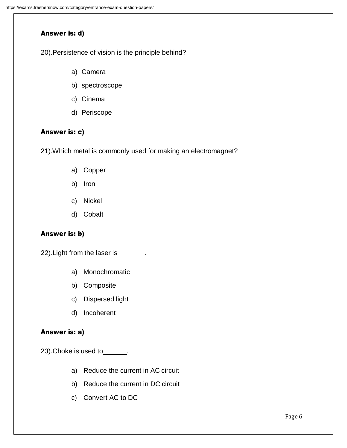#### Answer is: d)

20).Persistence of vision is the principle behind?

- a) Camera
- b) spectroscope
- c) Cinema
- d) Periscope

#### Answer is: c)

21).Which metal is commonly used for making an electromagnet?

- a) Copper
- b) Iron
- c) Nickel
- d) Cobalt

#### Answer is: b)

22). Light from the laser is \_\_\_\_\_\_\_.

- a) Monochromatic
- b) Composite
- c) Dispersed light
- d) Incoherent

#### Answer is: a)

 $23)$ . Choke is used to  $\qquad \qquad$ .

- a) Reduce the current in AC circuit
- b) Reduce the current in DC circuit
- c) Convert AC to DC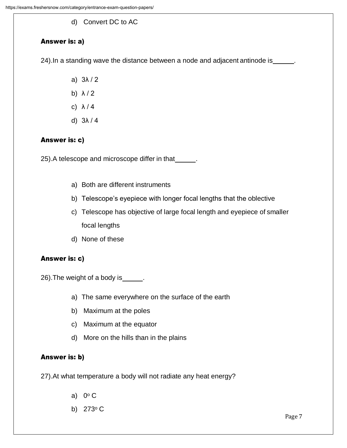d) Convert DC to AC

## Answer is: a)

24). In a standing wave the distance between a node and adjacent antinode is ...

- a) 3λ / 2
- b) λ / 2
- c) λ / 4
- d) 3λ / 4

## Answer is: c)

25). A telescope and microscope differ in that \_\_\_\_\_\_.

- a) Both are different instruments
- b) Telescope's eyepiece with longer focal lengths that the oblective
- c) Telescope has objective of large focal length and eyepiece of smaller focal lengths
- d) None of these

#### Answer is: c)

26). The weight of a body is .

- a) The same everywhere on the surface of the earth
- b) Maximum at the poles
- c) Maximum at the equator
- d) More on the hills than in the plains

## Answer is: b)

27).At what temperature a body will not radiate any heat energy?

- a)  $0^{\circ}$  C
- b)  $273^{\circ}$  C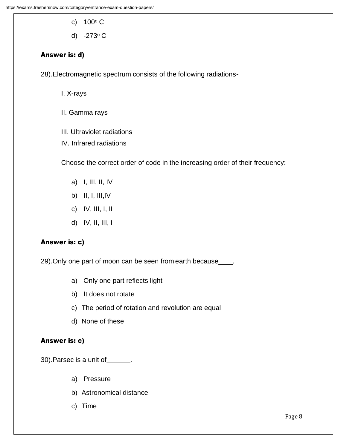- c)  $100^{\circ}$  C
- d) -273<sup>o</sup> C

#### Answer is: d)

28).Electromagnetic spectrum consists of the following radiations-

I. X-rays

- II. Gamma rays
- III. Ultraviolet radiations
- IV. Infrared radiations

Choose the correct order of code in the increasing order of their frequency:

- a) I, III, II, IV
- b) II, I, III,IV
- c) IV, III, I, II
- d) IV, II, III, I

#### Answer is: c)

29). Only one part of moon can be seen from earth because\_\_\_\_.

- a) Only one part reflects light
- b) It does not rotate
- c) The period of rotation and revolution are equal
- d) None of these

#### Answer is: c)

30). Parsec is a unit of \_\_\_\_\_\_\_.

- a) Pressure
- b) Astronomical distance
- c) Time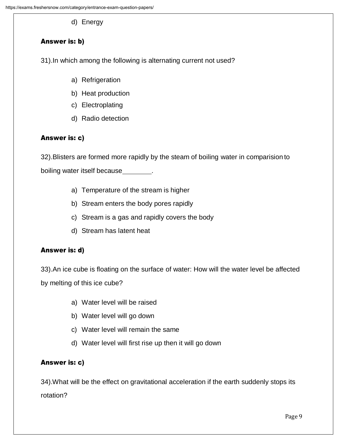d) Energy

## Answer is: b)

31).In which among the following is alternating current not used?

- a) Refrigeration
- b) Heat production
- c) Electroplating
- d) Radio detection

## Answer is: c)

32).Blisters are formed more rapidly by the steam of boiling water in comparision to

boiling water itself because\_\_\_\_\_\_\_\_.

- a) Temperature of the stream is higher
- b) Stream enters the body pores rapidly
- c) Stream is a gas and rapidly covers the body
- d) Stream has latent heat

#### Answer is: d)

33).An ice cube is floating on the surface of water: How will the water level be affected by melting of this ice cube?

- a) Water level will be raised
- b) Water level will go down
- c) Water level will remain the same
- d) Water level will first rise up then it will go down

## Answer is: c)

34).What will be the effect on gravitational acceleration if the earth suddenly stops its rotation?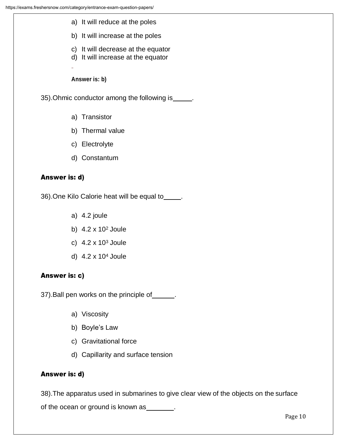- a) It will reduce at the poles
- b) It will increase at the poles
- c) It will decrease at the equator
- d) It will increase at the equator

**Answer is: b)**

35).Ohmic conductor among the following is .

- a) Transistor
- b) Thermal value
- c) Electrolyte
- d) Constantum

## Answer is: d)

36).One Kilo Calorie heat will be equal to .

- a) 4.2 joule
- b) 4.2 x 10<sup>2</sup> Joule
- c)  $4.2 \times 10^3$  Joule
- d) 4.2 x 10<sup>4</sup> Joule

#### Answer is: c)

37). Ball pen works on the principle of \_\_\_\_\_\_.

- a) Viscosity
- b) Boyle's Law
- c) Gravitational force
- d) Capillarity and surface tension

#### Answer is: d)

38).The apparatus used in submarines to give clear view of the objects on the surface of the ocean or ground is known as \_\_\_\_\_\_\_.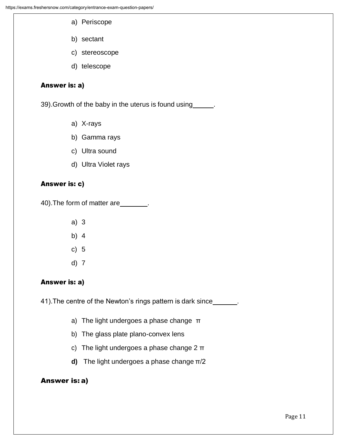- a) Periscope
- b) sectant
- c) stereoscope
- d) telescope

#### Answer is: a)

39). Growth of the baby in the uterus is found using\_\_\_\_\_\_.

- a) X-rays
- b) Gamma rays
- c) Ultra sound
- d) Ultra Violet rays

#### Answer is: c)

40). The form of matter are \_\_\_\_\_\_\_\_.

- a) 3
- b) 4
- c) 5
- d) 7

#### Answer is: a)

41). The centre of the Newton's rings pattern is dark since\_\_\_\_\_\_.

- a) The light undergoes a phase change π
- b) The glass plate plano-convex lens
- c) The light undergoes a phase change 2 π
- **d)** The light undergoes a phase change π/2

#### Answer is: a)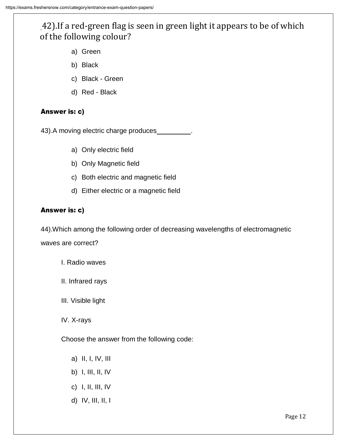## 42).If a red-green flag is seen in green light it appears to be of which of the following colour?

- a) Green
- b) Black
- c) Black Green
- d) Red Black

## Answer is: c)

43). A moving electric charge produces

- a) Only electric field
- b) Only Magnetic field
- c) Both electric and magnetic field
- d) Either electric or a magnetic field

#### Answer is: c)

44).Which among the following order of decreasing wavelengths of electromagnetic waves are correct?

- I. Radio waves
- II. Infrared rays
- III. Visible light

IV. X-rays

Choose the answer from the following code:

- a) II, I, IV, III
- b) I, III, II, IV
- c) I, II, III, IV
- d) IV, III, II, I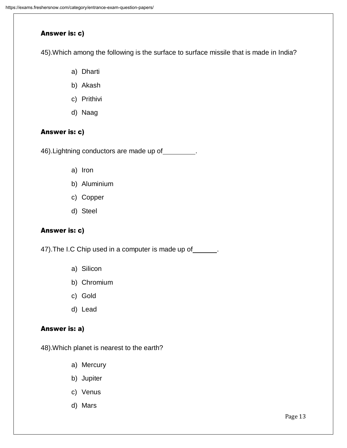#### Answer is: c)

45).Which among the following is the surface to surface missile that is made in India?

- a) Dharti
- b) Akash
- c) Prithivi
- d) Naag

## Answer is: c)

46). Lightning conductors are made up of \_\_\_\_\_\_\_\_.

- a) Iron
- b) Aluminium
- c) Copper
- d) Steel

#### Answer is: c)

47). The I.C Chip used in a computer is made up of \_\_\_\_\_\_.

- a) Silicon
- b) Chromium
- c) Gold
- d) Lead

#### Answer is: a)

48).Which planet is nearest to the earth?

- a) Mercury
- b) Jupiter
- c) Venus
- d) Mars